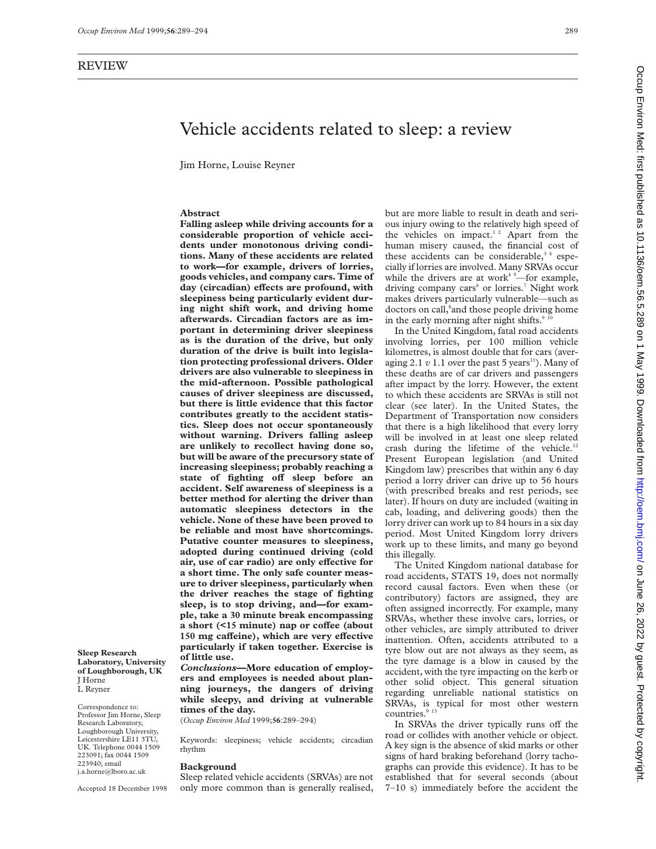Jim Horne, Louise Reyner

#### **Abstract**

**Falling asleep while driving accounts for a considerable proportion of vehicle accidents under monotonous driving conditions. Many of these accidents are related to work—for example, drivers of lorries, goods vehicles, and company cars. Time of** day (circadian) effects are profound, with **sleepiness being particularly evident during night shift work, and driving home afterwards. Circadian factors are as important in determining driver sleepiness as is the duration of the drive, but only duration of the drive is built into legislation protecting professional drivers. Older drivers are also vulnerable to sleepiness in the mid-afternoon. Possible pathological causes of driver sleepiness are discussed, but there is little evidence that this factor contributes greatly to the accident statistics. Sleep does not occur spontaneously without warning. Drivers falling asleep are unlikely to recollect having done so, but will be aware of the precursory state of increasing sleepiness; probably reaching a** state of fighting off sleep before an **accident. Self awareness of sleepiness is a better method for alerting the driver than automatic sleepiness detectors in the vehicle. None of these have been proved to be reliable and most have shortcomings. Putative counter measures to sleepiness, adopted during continued driving (cold** air, use of car radio) are only effective for **a short time. The only safe counter measure to driver sleepiness, particularly when the driver reaches the stage of fighting sleep, is to stop driving, and—for example, take a 30 minute break encompassing** a short (<15 minute) nap or coffee (about 150 mg caffeine), which are very effective **particularly if taken together. Exercise is of little use.**

*Conclusions***—More education of employers and employees is needed about planning journeys, the dangers of driving while sleepy, and driving at vulnerable**

Keywords: sleepiness; vehicle accidents; circadian

Sleep related vehicle accidents (SRVAs) are not only more common than is generally realised,

**times of the day.**

rhythm

**Background**

(*Occup Environ Med* 1999;**56**:289–294)

**Sleep Research Laboratory, University of Loughborough, UK** J Horne L Reyner

Correspondence to: Professor Jim Horne, Sleep Research Laboratory, Loughborough University, Leicestershire LE11 3TU, UK. Telephone 0044 1509 223091; fax 0044 1509 223940; email j.a.horne@lboro.ac.uk

Accepted 18 December 1998

Vehicle accidents related to sleep: a review

## but are more liable to result in death and serious injury owing to the relatively high speed of the vehicles on impact.<sup>12</sup> Apart from the human misery caused, the financial cost of these accidents can be considerable,  $3<sup>4</sup>$  especially if lorries are involved. Many SRVAs occur while the drivers are at work<sup> $4.5$ </sup>—for example, driving company cars<sup>6</sup> or lorries.<sup>7</sup> Night work makes drivers particularly vulnerable—such as doctors on call, and those people driving home in the early morning after night shifts. $910$

In the United Kingdom, fatal road accidents involving lorries, per 100 million vehicle kilometres, is almost double that for cars (averaging 2.1  $v$  1.1 over the past 5 years<sup>11</sup>). Many of these deaths are of car drivers and passengers after impact by the lorry. However, the extent to which these accidents are SRVAs is still not clear (see later). In the United States, the Department of Transportation now considers that there is a high likelihood that every lorry will be involved in at least one sleep related crash during the lifetime of the vehicle.<sup>12</sup> Present European legislation (and United Kingdom law) prescribes that within any 6 day period a lorry driver can drive up to 56 hours (with prescribed breaks and rest periods, see later). If hours on duty are included (waiting in cab, loading, and delivering goods) then the lorry driver can work up to 84 hours in a six day period. Most United Kingdom lorry drivers work up to these limits, and many go beyond this illegally.

The United Kingdom national database for road accidents, STATS 19, does not normally record causal factors. Even when these (or contributory) factors are assigned, they are often assigned incorrectly. For example, many SRVAs, whether these involve cars, lorries, or other vehicles, are simply attributed to driver inattention. Often, accidents attributed to a tyre blow out are not always as they seem, as the tyre damage is a blow in caused by the accident, with the tyre impacting on the kerb or other solid object. This general situation regarding unreliable national statistics on SRVAs, is typical for most other western countries.<sup>9</sup> 13

In SRVAs the driver typically runs off the road or collides with another vehicle or object. A key sign is the absence of skid marks or other signs of hard braking beforehand (lorry tachographs can provide this evidence). It has to be established that for several seconds (about 7–10 s) immediately before the accident the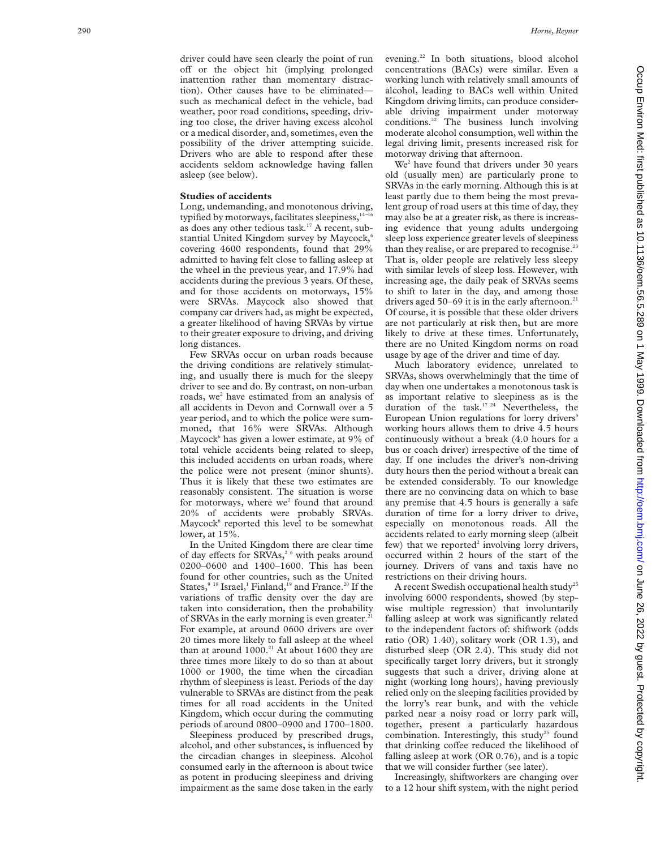driver could have seen clearly the point of run off or the object hit (implying prolonged inattention rather than momentary distraction). Other causes have to be eliminated such as mechanical defect in the vehicle, bad weather, poor road conditions, speeding, driving too close, the driver having excess alcohol or a medical disorder, and, sometimes, even the possibility of the driver attempting suicide. Drivers who are able to respond after these accidents seldom acknowledge having fallen asleep (see below).

### **Studies of accidents**

Long, undemanding, and monotonous driving, typified by motorways, facilitates sleepiness,<sup>14</sup> −16 as does any other tedious task.<sup>17</sup> A recent, substantial United Kingdom survey by Maycock,<sup>6</sup> covering 4600 respondents, found that 29% admitted to having felt close to falling asleep at the wheel in the previous year, and 17.9% had accidents during the previous 3 years. Of these, and for those accidents on motorways, 15% were SRVAs. Maycock also showed that company car drivers had, as might be expected, a greater likelihood of having SRVAs by virtue to their greater exposure to driving, and driving long distances.

Few SRVAs occur on urban roads because the driving conditions are relatively stimulating, and usually there is much for the sleepy driver to see and do. By contrast, on non-urban roads, we <sup>2</sup> have estimated from an analysis of all accidents in Devon and Cornwall over a 5 year period, and to which the police were summoned, that 16% were SRVAs. Although Maycock <sup>6</sup> has given a lower estimate, at 9% of total vehicle accidents being related to sleep, this included accidents on urban roads, where the police were not present (minor shunts). Thus it is likely that these two estimates are reasonably consistent. The situation is worse for motorways, where we <sup>2</sup> found that around 20% of accidents were probably SRVAs. Maycock <sup>6</sup> reported this level to be somewhat lower, at 15%.

In the United Kingdom there are clear time of day effects for SRVAs,<sup>26</sup> with peaks around 0200–0600 and 1400–1600. This has been found for other countries, such as the United States,  $918$  Israel, Finland,  $19$  and France.<sup>20</sup> If the variations of traffic density over the day are taken into consideration, then the probability of SRVAs in the early morning is even greater. $21$ For example, at around 0600 drivers are over 20 times more likely to fall asleep at the wheel than at around  $1000.<sup>21</sup>$  At about  $1600$  they are three times more likely to do so than at about 1000 or 1900, the time when the circadian rhythm of sleepiness is least. Periods of the day vulnerable to SRVAs are distinct from the peak times for all road accidents in the United Kingdom, which occur during the commuting periods of around 0800–0900 and 1700–1800.

Sleepiness produced by prescribed drugs, alcohol, and other substances, is influenced by the circadian changes in sleepiness. Alcohol consumed early in the afternoon is about twice as potent in producing sleepiness and driving impairment as the same dose taken in the early evening.22 In both situations, blood alcohol concentrations (BACs) were similar. Even a working lunch with relatively small amounts of alcohol, leading to BACs well within United Kingdom driving limits, can produce considerable driving impairment under motorway conditions. $22$  The business lunch involving moderate alcohol consumption, well within the legal driving limit, presents increased risk for motorway driving that afternoon.

We <sup>2</sup> have found that drivers under 30 years old (usually men) are particularly prone to SRVAs in the early morning. Although this is at least partly due to them being the most prevalent group of road users at this time of day, they may also be at a greater risk, as there is increasing evidence that young adults undergoing sleep loss experience greater levels of sleepiness than they realise, or are prepared to recognise. $22$ That is, older people are relatively less sleepy with similar levels of sleep loss. However, with increasing age, the daily peak of SRVAs seems to shift to later in the day, and among those drivers aged  $50-69$  it is in the early afternoon.<sup>21</sup> Of course, it is possible that these older drivers are not particularly at risk then, but are more likely to drive at these times. Unfortunately, there are no United Kingdom norms on road usage by age of the driver and time of day.

Much laboratory evidence, unrelated to SRVAs, shows overwhelmingly that the time of day when one undertakes a monotonous task is as important relative to sleepiness as is the duration of the task.<sup>17 24</sup> Nevertheless, the European Union regulations for lorry drivers' working hours allows them to drive 4.5 hours continuously without a break (4.0 hours for a bus or coach driver) irrespective of the time of day. If one includes the driver's non-driving duty hours then the period without a break can be extended considerably. To our knowledge there are no convincing data on which to base any premise that 4.5 hours is generally a safe duration of time for a lorry driver to drive, especially on monotonous roads. All the accidents related to early morning sleep (albeit few) that we reported<sup>2</sup> involving lorry drivers, occurred within 2 hours of the start of the journey. Drivers of vans and taxis have no restrictions on their driving hours.

A recent Swedish occupational health study<sup>25</sup> involving 6000 respondents, showed (by stepwise multiple regression) that involuntarily falling asleep at work was significantly related to the independent factors of: shiftwork (odds ratio (OR) 1.40), solitary work (OR 1.3), and disturbed sleep (OR 2.4). This study did not specifically target lorry drivers, but it strongly suggests that such a driver, driving alone at night (working long hours), having previously relied only on the sleeping facilities provided by the lorry's rear bunk, and with the vehicle parked near a noisy road or lorry park will, together, present a particularly hazardous combination. Interestingly, this study<sup>25</sup> found that drinking coffee reduced the likelihood of falling asleep at work (OR 0.76), and is a topic that we will consider further (see later).

Increasingly, shiftworkers are changing over to a 12 hour shift system, with the night period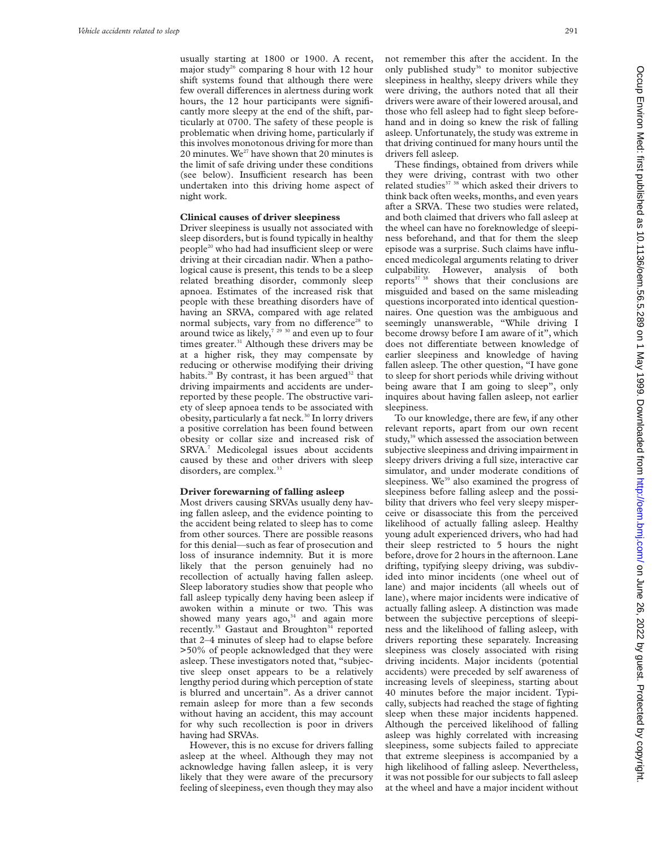usually starting at 1800 or 1900. A recent, major study<sup>26</sup> comparing 8 hour with 12 hour shift systems found that although there were few overall differences in alertness during work hours, the 12 hour participants were significantly more sleepy at the end of the shift, particularly at 0700. The safety of these people is problematic when driving home, particularly if this involves monotonous driving for more than 20 minutes. We $^{27}$  have shown that 20 minutes is the limit of safe driving under these conditions (see below). Insufficient research has been undertaken into this driving home aspect of night work.

## **Clinical causes of driver sleepiness**

Driver sleepiness is usually not associated with sleep disorders, but is found typically in healthy people<sup>20</sup> who had had insufficient sleep or were driving at their circadian nadir. When a pathological cause is present, this tends to be a sleep related breathing disorder, commonly sleep apnoea. Estimates of the increased risk that people with these breathing disorders have of having an SRVA, compared with age related normal subjects, vary from no difference<sup>28</sup> to around twice as likely,<sup>7 29 30</sup> and even up to four times greater.<sup>31</sup> Although these drivers may be at a higher risk, they may compensate by reducing or otherwise modifying their driving habits.<sup>28</sup> By contrast, it has been argued<sup>32</sup> that driving impairments and accidents are underreported by these people. The obstructive variety of sleep apnoea tends to be associated with obesity, particularly a fat neck.<sup>30</sup> In lorry drivers a positive correlation has been found between obesity or collar size and increased risk of SRVA.7 Medicolegal issues about accidents caused by these and other drivers with sleep disorders, are complex.<sup>33</sup>

## **Driver forewarning of falling asleep**

Most drivers causing SRVAs usually deny having fallen asleep, and the evidence pointing to the accident being related to sleep has to come from other sources. There are possible reasons for this denial—such as fear of prosecution and loss of insurance indemnity. But it is more likely that the person genuinely had no recollection of actually having fallen asleep. Sleep laboratory studies show that people who fall asleep typically deny having been asleep if awoken within a minute or two. This was showed many years ago, $34$  and again more recently.<sup>35</sup> Gastaut and Broughton<sup>34</sup> reported that 2–4 minutes of sleep had to elapse before >50% of people acknowledged that they were asleep. These investigators noted that, "subjective sleep onset appears to be a relatively lengthy period during which perception of state is blurred and uncertain". As a driver cannot remain asleep for more than a few seconds without having an accident, this may account for why such recollection is poor in drivers having had SRVAs.

However, this is no excuse for drivers falling asleep at the wheel. Although they may not acknowledge having fallen asleep, it is very likely that they were aware of the precursory feeling of sleepiness, even though they may also

not remember this after the accident. In the only published study<sup>36</sup> to monitor subjective sleepiness in healthy, sleepy drivers while they were driving, the authors noted that all their drivers were aware of their lowered arousal, and those who fell asleep had to fight sleep beforehand and in doing so knew the risk of falling asleep. Unfortunately, the study was extreme in that driving continued for many hours until the drivers fell asleep.

These findings, obtained from drivers while they were driving, contrast with two other related studies<sup>37</sup> <sup>38</sup> which asked their drivers to think back often weeks, months, and even years after a SRVA. These two studies were related, and both claimed that drivers who fall asleep at the wheel can have no foreknowledge of sleepiness beforehand, and that for them the sleep episode was a surprise. Such claims have influenced medicolegal arguments relating to driver culpability. However, analysis of both reports<sup>37 38</sup> shows that their conclusions are misguided and based on the same misleading questions incorporated into identical questionnaires. One question was the ambiguous and seemingly unanswerable, "While driving I become drowsy before I am aware of it", which does not differentiate between knowledge of earlier sleepiness and knowledge of having fallen asleep. The other question, "I have gone to sleep for short periods while driving without being aware that I am going to sleep", only inquires about having fallen asleep, not earlier sleepiness.

To our knowledge, there are few, if any other relevant reports, apart from our own recent study,<sup>39</sup> which assessed the association between subjective sleepiness and driving impairment in sleepy drivers driving a full size, interactive car simulator, and under moderate conditions of sleepiness. We<sup>39</sup> also examined the progress of sleepiness before falling asleep and the possibility that drivers who feel very sleepy misperceive or disassociate this from the perceived likelihood of actually falling asleep. Healthy young adult experienced drivers, who had had their sleep restricted to 5 hours the night before, drove for 2 hours in the afternoon. Lane drifting, typifying sleepy driving, was subdivided into minor incidents (one wheel out of lane) and major incidents (all wheels out of lane), where major incidents were indicative of actually falling asleep. A distinction was made between the subjective perceptions of sleepiness and the likelihood of falling asleep, with drivers reporting these separately. Increasing sleepiness was closely associated with rising driving incidents. Major incidents (potential accidents) were preceded by self awareness of increasing levels of sleepiness, starting about 40 minutes before the major incident. Typically, subjects had reached the stage of fighting sleep when these major incidents happened. Although the perceived likelihood of falling asleep was highly correlated with increasing sleepiness, some subjects failed to appreciate that extreme sleepiness is accompanied by a high likelihood of falling asleep. Nevertheless, it was not possible for our subjects to fall asleep at the wheel and have a major incident without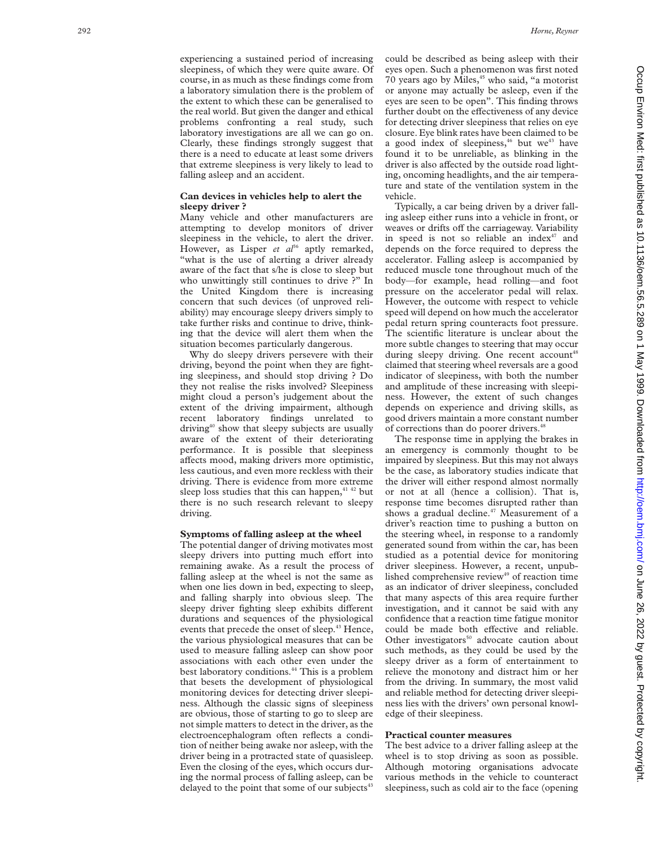experiencing a sustained period of increasing sleepiness, of which they were quite aware. Of course, in as much as these findings come from a laboratory simulation there is the problem of the extent to which these can be generalised to the real world. But given the danger and ethical problems confronting a real study, such laboratory investigations are all we can go on. Clearly, these findings strongly suggest that there is a need to educate at least some drivers that extreme sleepiness is very likely to lead to falling asleep and an accident.

## **Can devices in vehicles help to alert the sleepy driver ?**

Many vehicle and other manufacturers are attempting to develop monitors of driver sleepiness in the vehicle, to alert the driver. However, as Lisper et al<sup>36</sup> aptly remarked, "what is the use of alerting a driver already aware of the fact that s/he is close to sleep but who unwittingly still continues to drive ?" In the United Kingdom there is increasing concern that such devices (of unproved reliability) may encourage sleepy drivers simply to take further risks and continue to drive, thinking that the device will alert them when the situation becomes particularly dangerous.

Why do sleepy drivers persevere with their driving, beyond the point when they are fighting sleepiness, and should stop driving ? Do they not realise the risks involved? Sleepiness might cloud a person's judgement about the extent of the driving impairment, although recent laboratory findings unrelated to driving<sup>40</sup> show that sleepy subjects are usually aware of the extent of their deteriorating performance. It is possible that sleepiness affects mood, making drivers more optimistic, less cautious, and even more reckless with their driving. There is evidence from more extreme sleep loss studies that this can happen, 41 42 but there is no such research relevant to sleepy driving.

### **Symptoms of falling asleep at the wheel**

The potential danger of driving motivates most sleepy drivers into putting much effort into remaining awake. As a result the process of falling asleep at the wheel is not the same as when one lies down in bed, expecting to sleep, and falling sharply into obvious sleep. The sleepy driver fighting sleep exhibits different durations and sequences of the physiological events that precede the onset of sleep.<sup>43</sup> Hence, the various physiological measures that can be used to measure falling asleep can show poor associations with each other even under the best laboratory conditions.<sup>44</sup> This is a problem that besets the development of physiological monitoring devices for detecting driver sleepiness. Although the classic signs of sleepiness are obvious, those of starting to go to sleep are not simple matters to detect in the driver, as the electroencephalogram often reflects a condition of neither being awake nor asleep, with the driver being in a protracted state of quasisleep. Even the closing of the eyes, which occurs during the normal process of falling asleep, can be delayed to the point that some of our subjects $43$ 

could be described as being asleep with their eyes open. Such a phenomenon was first noted 70 years ago by Miles,<sup>45</sup> who said, "a motorist or anyone may actually be asleep, even if the eyes are seen to be open". This finding throws further doubt on the effectiveness of any device for detecting driver sleepiness that relies on eye closure. Eye blink rates have been claimed to be a good index of sleepiness, $46$  but we $43$  have found it to be unreliable, as blinking in the driver is also affected by the outside road lighting, oncoming headlights, and the air temperature and state of the ventilation system in the vehicle.

Typically, a car being driven by a driver falling asleep either runs into a vehicle in front, or weaves or drifts off the carriageway. Variability in speed is not so reliable an index $47$  and depends on the force required to depress the accelerator. Falling asleep is accompanied by reduced muscle tone throughout much of the body—for example, head rolling—and foot pressure on the accelerator pedal will relax. However, the outcome with respect to vehicle speed will depend on how much the accelerator pedal return spring counteracts foot pressure. The scientific literature is unclear about the more subtle changes to steering that may occur during sleepy driving. One recent account<sup>48</sup> claimed that steering wheel reversals are a good indicator of sleepiness, with both the number and amplitude of these increasing with sleepiness. However, the extent of such changes depends on experience and driving skills, as good drivers maintain a more constant number of corrections than do poorer drivers.<sup>48</sup>

The response time in applying the brakes in an emergency is commonly thought to be impaired by sleepiness. But this may not always be the case, as laboratory studies indicate that the driver will either respond almost normally or not at all (hence a collision). That is, response time becomes disrupted rather than shows a gradual decline.<sup>47</sup> Measurement of a driver's reaction time to pushing a button on the steering wheel, in response to a randomly generated sound from within the car, has been studied as a potential device for monitoring driver sleepiness. However, a recent, unpublished comprehensive review $49$  of reaction time as an indicator of driver sleepiness, concluded that many aspects of this area require further investigation, and it cannot be said with any confidence that a reaction time fatigue monitor could be made both effective and reliable. Other investigators $50$  advocate caution about such methods, as they could be used by the sleepy driver as a form of entertainment to relieve the monotony and distract him or her from the driving. In summary, the most valid and reliable method for detecting driver sleepiness lies with the drivers' own personal knowledge of their sleepiness.

# **Practical counter measures**

The best advice to a driver falling asleep at the wheel is to stop driving as soon as possible. Although motoring organisations advocate various methods in the vehicle to counteract sleepiness, such as cold air to the face (opening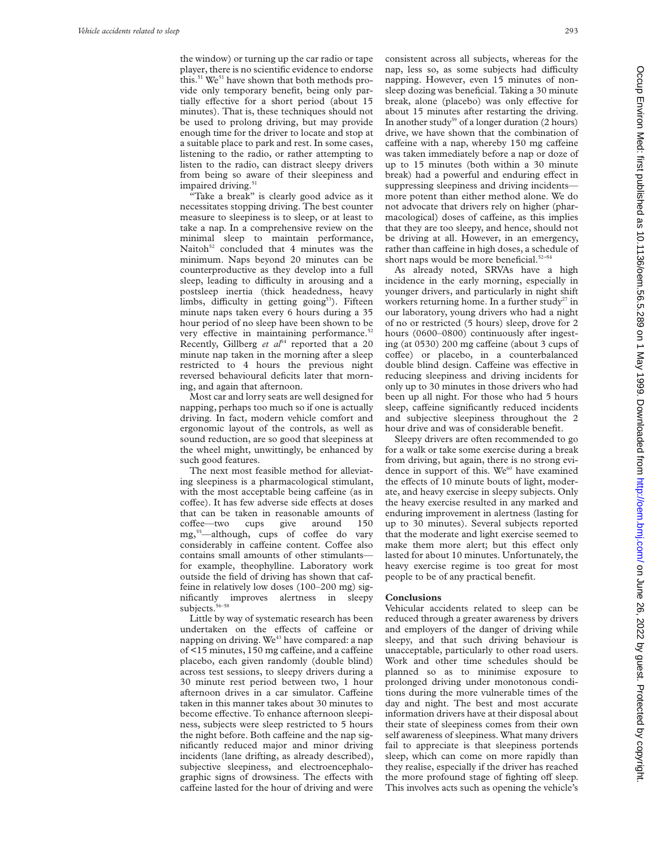the window) or turning up the car radio or tape player, there is no scientific evidence to endorse this.<sup>51</sup> We<sup>51</sup> have shown that both methods provide only temporary benefit, being only partially effective for a short period (about 15 minutes). That is, these techniques should not be used to prolong driving, but may provide enough time for the driver to locate and stop at a suitable place to park and rest. In some cases, listening to the radio, or rather attempting to listen to the radio, can distract sleepy drivers from being so aware of their sleepiness and impaired driving.<sup>51</sup>

"Take a break" is clearly good advice as it necessitates stopping driving. The best counter measure to sleepiness is to sleep, or at least to take a nap. In a comprehensive review on the minimal sleep to maintain performance, Naitoh<sup>52</sup> concluded that 4 minutes was the minimum. Naps beyond 20 minutes can be counterproductive as they develop into a full sleep, leading to difficulty in arousing and a postsleep inertia (thick headedness, heavy limbs, difficulty in getting going<sup>53</sup>). Fifteen minute naps taken every 6 hours during a 35 hour period of no sleep have been shown to be very effective in maintaining performance.<sup>52</sup> Recently, Gillberg *et al*<sup>54</sup> reported that a 20 minute nap taken in the morning after a sleep restricted to 4 hours the previous night reversed behavioural deficits later that morning, and again that afternoon.

Most car and lorry seats are well designed for napping, perhaps too much so if one is actually driving. In fact, modern vehicle comfort and ergonomic layout of the controls, as well as sound reduction, are so good that sleepiness at the wheel might, unwittingly, be enhanced by such good features.

The next most feasible method for alleviating sleepiness is a pharmacological stimulant, with the most acceptable being caffeine (as in coffee). It has few adverse side effects at doses that can be taken in reasonable amounts of coffee—two cups give around 150 mg,<sup>55</sup>—although, cups of coffee do vary considerably in caffeine content. Coffee also contains small amounts of other stimulants for example, theophylline. Laboratory work outside the field of driving has shown that caffeine in relatively low doses (100–200 mg) significantly improves alertness in sleepy subjects.<sup>56–58</sup>

Little by way of systematic research has been undertaken on the effects of caffeine or napping on driving.  $We^{43}$  have compared: a nap  $of$  <15 minutes, 150 mg caffeine, and a caffeine placebo, each given randomly (double blind) across test sessions, to sleepy drivers during a 30 minute rest period between two, 1 hour afternoon drives in a car simulator. Caffeine taken in this manner takes about 30 minutes to become effective. To enhance afternoon sleepiness, subjects were sleep restricted to 5 hours the night before. Both caffeine and the nap significantly reduced major and minor driving incidents (lane drifting, as already described), subjective sleepiness, and electroencephalographic signs of drowsiness. The effects with caffeine lasted for the hour of driving and were

consistent across all subjects, whereas for the nap, less so, as some subjects had difficulty napping. However, even 15 minutes of nonsleep dozing was beneficial. Taking a 30 minute break, alone (placebo) was only effective for about 15 minutes after restarting the driving. In another study<sup>59</sup> of a longer duration  $(2 \text{ hours})$ drive, we have shown that the combination of caffeine with a nap, whereby 150 mg caffeine was taken immediately before a nap or doze of up to 15 minutes (both within a 30 minute break) had a powerful and enduring effect in suppressing sleepiness and driving incidents more potent than either method alone. We do not advocate that drivers rely on higher (pharmacological) doses of caffeine, as this implies that they are too sleepy, and hence, should not be driving at all. However, in an emergency, rather than caffeine in high doses, a schedule of short naps would be more beneficial.<sup>52−54</sup>

As already noted, SRVAs have a high incidence in the early morning, especially in younger drivers, and particularly in night shift workers returning home. In a further study<sup>27</sup> in our laboratory, young drivers who had a night of no or restricted (5 hours) sleep, drove for 2 hours (0600–0800) continuously after ingesting (at  $0530$ ) 200 mg caffeine (about 3 cups of coffee) or placebo, in a counterbalanced double blind design. Caffeine was effective in reducing sleepiness and driving incidents for only up to 30 minutes in those drivers who had been up all night. For those who had 5 hours sleep, caffeine significantly reduced incidents and subjective sleepiness throughout the 2 hour drive and was of considerable benefit.

Sleepy drivers are often recommended to go for a walk or take some exercise during a break from driving, but again, there is no strong evidence in support of this. We<sup>60</sup> have examined the effects of 10 minute bouts of light, moderate, and heavy exercise in sleepy subjects. Only the heavy exercise resulted in any marked and enduring improvement in alertness (lasting for up to 30 minutes). Several subjects reported that the moderate and light exercise seemed to make them more alert; but this effect only lasted for about 10 minutes. Unfortunately, the heavy exercise regime is too great for most people to be of any practical benefit.

### **Conclusions**

Vehicular accidents related to sleep can be reduced through a greater awareness by drivers and employers of the danger of driving while sleepy, and that such driving behaviour is unacceptable, particularly to other road users. Work and other time schedules should be planned so as to minimise exposure to prolonged driving under monotonous conditions during the more vulnerable times of the day and night. The best and most accurate information drivers have at their disposal about their state of sleepiness comes from their own self awareness of sleepiness. What many drivers fail to appreciate is that sleepiness portends sleep, which can come on more rapidly than they realise, especially if the driver has reached the more profound stage of fighting off sleep. This involves acts such as opening the vehicle's